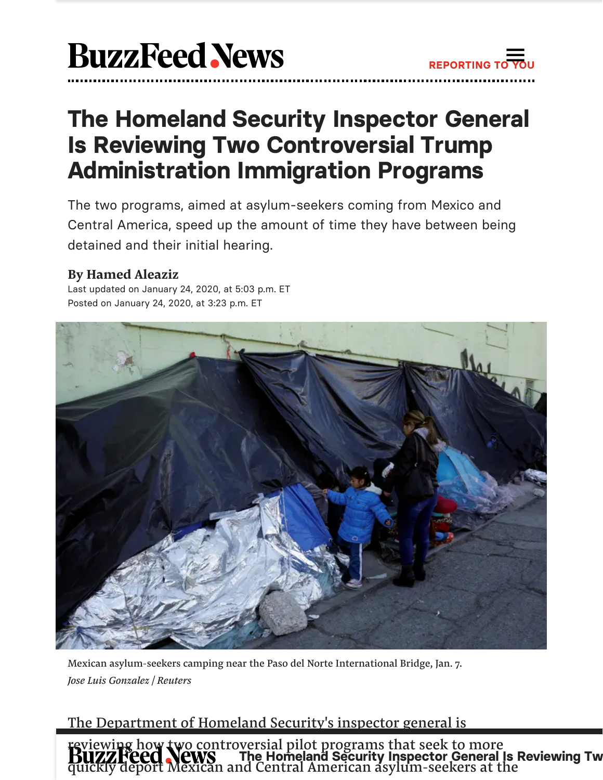

# The Homeland Security Inspector General Is Reviewing Two Controversial Trump Administration Immigration Programs

The two programs, aimed at asylum-seekers coming from Mexico and Central America, speed up the amount of time they have between being detained and their initial hearing.

## **By [Hamed](https://www.buzzfeednews.com/author/hamedaleaziz) Aleaziz**

Last updated on January 24, 2020, at 5:03 p.m. ET Posted on January 24, 2020, at 3:23 p.m. ET



Mexican asylum-seekers camping near the Paso del Norte International Bridge, Jan. 7. *Jose Luis Gonzalez / Reuters*

# The Department of Homeland Security's inspector general is

The Homeland Security Inspector General Is Reviewing Tw [reviewing](https://www.buzzfeednews.com/) how two controversial pilot programs that seek to more quickly deport Mexican and Central American asylum-seekers at the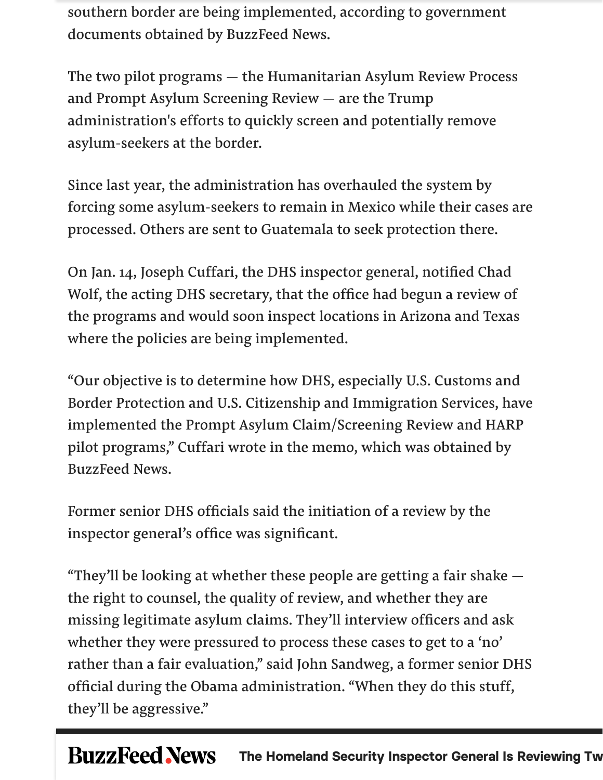southern border are being implemented, according to government documents obtained by BuzzFeed News.

The two pilot programs — the Humanitarian Asylum Review Process and Prompt Asylum Screening Review — are the Trump administration's efforts to quickly screen and potentially remove asylum-seekers at the border.

Since last year, the administration has overhauled the system by forcing some asylum-seekers to remain in Mexico while their cases are processed. Others are sent to Guatemala to seek protection there.

On Jan. 14, Joseph Cuffari, the DHS inspector general, notified Chad Wolf, the acting DHS secretary, that the office had begun a review of the programs and would soon inspect locations in Arizona and Texas where the policies are being implemented.

"Our objective is to determine how DHS, especially U.S. Customs and Border Protection and U.S. Citizenship and Immigration Services, have implemented the Prompt Asylum Claim/Screening Review and HARP pilot programs, " Cuffari wrote in the memo, which was obtained by BuzzFeed News.

Former senior DHS officials said the initiation of a review by the inspector general's office was significant.

"They'll be looking at whether these people are getting a fair shake the right to counsel, the quality of review, and whether they are missing legitimate asylum claims. They'll interview officers and ask whether they were pressured to process these cases to get to a 'no' rather than a fair evaluation, " said John Sandweg, a former senior DHS official during the Obama administration. "When they do this stuff, they'll be aggressive."

#### **BuzzFeed News** The Homeland Security Inspector General Is Reviewing Tw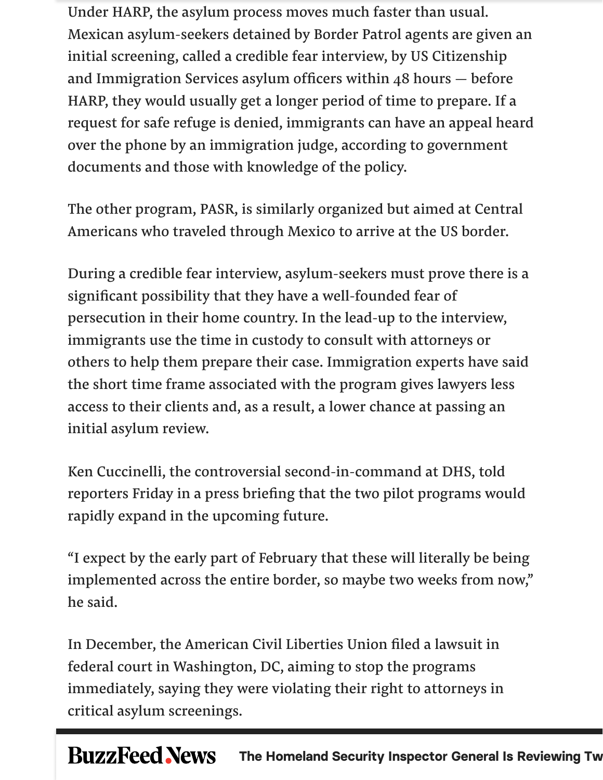Under HARP, the asylum process moves much faster than usual. Mexican asylum-seekers detained by Border Patrol agents are given an initial screening, called a credible fear interview, by US Citizenship and Immigration Services asylum officers within 48 hours — before HARP, they would usually get a longer period of time to prepare. If a request for safe refuge is denied, immigrants can have an appeal heard over the phone by an immigration judge, according to government documents and those with knowledge of the policy.

The other program, PASR, is similarly organized but aimed at Central Americans who traveled through Mexico to arrive at the US border.

During a credible fear interview, asylum-seekers must prove there is a significant possibility that they have a well-founded fear of persecution in their home country. In the lead-up to the interview, immigrants use the time in custody to consult with attorneys or others to help them prepare their case. Immigration experts have said the short time frame associated with the program gives lawyers less access to their clients and, as a result, a lower chance at passing an initial asylum review.

Ken Cuccinelli, the controversial second-in-command at DHS, told reporters Friday in a press briefing that the two pilot programs would rapidly expand in the upcoming future.

"I expect by the early part of February that these will literally be being implemented across the entire border, so maybe two weeks from now, " he said.

In December, the American Civil Liberties Union filed a lawsuit in federal court in Washington, DC, aiming to stop the programs immediately, saying they were violating their right to attorneys in critical asylum screenings.

#### **BuzzFeed News** The Homeland Security Inspector General Is Reviewing Tw